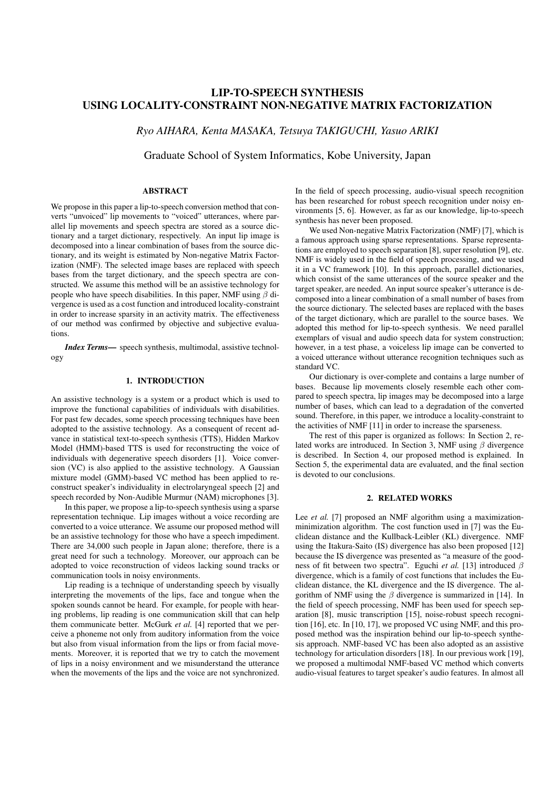# LIP-TO-SPEECH SYNTHESIS USING LOCALITY-CONSTRAINT NON-NEGATIVE MATRIX FACTORIZATION

*Ryo AIHARA, Kenta MASAKA, Tetsuya TAKIGUCHI, Yasuo ARIKI*

Graduate School of System Informatics, Kobe University, Japan

## ABSTRACT

We propose in this paper a lip-to-speech conversion method that converts "unvoiced" lip movements to "voiced" utterances, where parallel lip movements and speech spectra are stored as a source dictionary and a target dictionary, respectively. An input lip image is decomposed into a linear combination of bases from the source dictionary, and its weight is estimated by Non-negative Matrix Factorization (NMF). The selected image bases are replaced with speech bases from the target dictionary, and the speech spectra are constructed. We assume this method will be an assistive technology for people who have speech disabilities. In this paper, NMF using *β* divergence is used as a cost function and introduced locality-constraint in order to increase sparsity in an activity matrix. The effectiveness of our method was confirmed by objective and subjective evaluations.

*Index Terms*— speech synthesis, multimodal, assistive technology

### 1. INTRODUCTION

An assistive technology is a system or a product which is used to improve the functional capabilities of individuals with disabilities. For past few decades, some speech processing techniques have been adopted to the assistive technology. As a consequent of recent advance in statistical text-to-speech synthesis (TTS), Hidden Markov Model (HMM)-based TTS is used for reconstructing the voice of individuals with degenerative speech disorders [1]. Voice conversion (VC) is also applied to the assistive technology. A Gaussian mixture model (GMM)-based VC method has been applied to reconstruct speaker's individuality in electrolaryngeal speech [2] and speech recorded by Non-Audible Murmur (NAM) microphones [3].

In this paper, we propose a lip-to-speech synthesis using a sparse representation technique. Lip images without a voice recording are converted to a voice utterance. We assume our proposed method will be an assistive technology for those who have a speech impediment. There are 34,000 such people in Japan alone; therefore, there is a great need for such a technology. Moreover, our approach can be adopted to voice reconstruction of videos lacking sound tracks or communication tools in noisy environments.

Lip reading is a technique of understanding speech by visually interpreting the movements of the lips, face and tongue when the spoken sounds cannot be heard. For example, for people with hearing problems, lip reading is one communication skill that can help them communicate better. McGurk *et al.* [4] reported that we perceive a phoneme not only from auditory information from the voice but also from visual information from the lips or from facial movements. Moreover, it is reported that we try to catch the movement of lips in a noisy environment and we misunderstand the utterance when the movements of the lips and the voice are not synchronized.

In the field of speech processing, audio-visual speech recognition has been researched for robust speech recognition under noisy environments [5, 6]. However, as far as our knowledge, lip-to-speech synthesis has never been proposed.

We used Non-negative Matrix Factorization (NMF) [7], which is a famous approach using sparse representations. Sparse representations are employed to speech separation [8], super resolution [9], etc. NMF is widely used in the field of speech processing, and we used it in a VC framework [10]. In this approach, parallel dictionaries, which consist of the same utterances of the source speaker and the target speaker, are needed. An input source speaker's utterance is decomposed into a linear combination of a small number of bases from the source dictionary. The selected bases are replaced with the bases of the target dictionary, which are parallel to the source bases. We adopted this method for lip-to-speech synthesis. We need parallel exemplars of visual and audio speech data for system construction; however, in a test phase, a voiceless lip image can be converted to a voiced utterance without utterance recognition techniques such as standard VC.

Our dictionary is over-complete and contains a large number of bases. Because lip movements closely resemble each other compared to speech spectra, lip images may be decomposed into a large number of bases, which can lead to a degradation of the converted sound. Therefore, in this paper, we introduce a locality-constraint to the activities of NMF [11] in order to increase the sparseness.

The rest of this paper is organized as follows: In Section 2, related works are introduced. In Section 3, NMF using *β* divergence is described. In Section 4, our proposed method is explained. In Section 5, the experimental data are evaluated, and the final section is devoted to our conclusions.

## 2. RELATED WORKS

Lee *et al.* [7] proposed an NMF algorithm using a maximizationminimization algorithm. The cost function used in [7] was the Euclidean distance and the Kullback-Leibler (KL) divergence. NMF using the Itakura-Saito (IS) divergence has also been proposed [12] because the IS divergence was presented as "a measure of the goodness of fit between two spectra". Eguchi *et al.* [13] introduced *β* divergence, which is a family of cost functions that includes the Euclidean distance, the KL divergence and the IS divergence. The algorithm of NMF using the  $\beta$  divergence is summarized in [14]. In the field of speech processing, NMF has been used for speech separation [8], music transcription [15], noise-robust speech recognition [16], etc. In [10, 17], we proposed VC using NMF, and this proposed method was the inspiration behind our lip-to-speech synthesis approach. NMF-based VC has been also adopted as an assistive technology for articulation disorders [18]. In our previous work [19], we proposed a multimodal NMF-based VC method which converts audio-visual features to target speaker's audio features. In almost all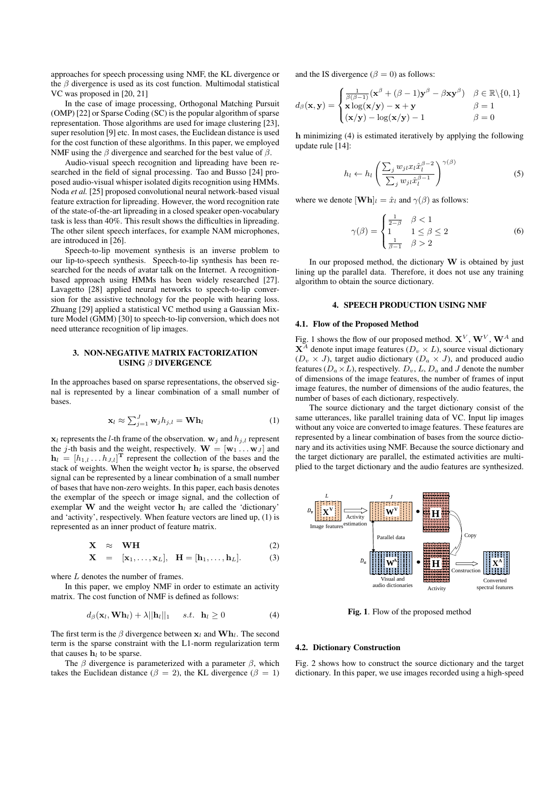approaches for speech processing using NMF, the KL divergence or the *β* divergence is used as its cost function. Multimodal statistical VC was proposed in [20, 21]

In the case of image processing, Orthogonal Matching Pursuit (OMP) [22] or Sparse Coding (SC) is the popular algorithm of sparse representation. Those algorithms are used for image clustering [23], super resolution [9] etc. In most cases, the Euclidean distance is used for the cost function of these algorithms. In this paper, we employed NMF using the *β* divergence and searched for the best value of *β*.

Audio-visual speech recognition and lipreading have been researched in the field of signal processing. Tao and Busso [24] proposed audio-visual whisper isolated digits recognition using HMMs. Noda *et al.* [25] proposed convolutional neural network-based visual feature extraction for lipreading. However, the word recognition rate of the state-of-the-art lipreading in a closed speaker open-vocabulary task is less than 40%. This result shows the difficulties in lipreading. The other silent speech interfaces, for example NAM microphones, are introduced in [26].

Speech-to-lip movement synthesis is an inverse problem to our lip-to-speech synthesis. Speech-to-lip synthesis has been researched for the needs of avatar talk on the Internet. A recognitionbased approach using HMMs has been widely researched [27]. Lavagetto [28] applied neural networks to speech-to-lip conversion for the assistive technology for the people with hearing loss. Zhuang [29] applied a statistical VC method using a Gaussian Mixture Model (GMM) [30] to speech-to-lip conversion, which does not need utterance recognition of lip images.

### 3. NON-NEGATIVE MATRIX FACTORIZATION USING *β* DIVERGENCE

In the approaches based on sparse representations, the observed signal is represented by a linear combination of a small number of bases.

$$
\mathbf{x}_{l} \approx \sum_{j=1}^{J} \mathbf{w}_{j} h_{j,l} = \mathbf{W} \mathbf{h}_{l}
$$
 (1)

 $x_l$  represents the *l*-th frame of the observation.  $w_j$  and  $h_{j,l}$  represent the *j*-th basis and the weight, respectively.  $\mathbf{W} = [\mathbf{w}_1 \dots \mathbf{w}_J]$  and  $h_l = [h_{1,l} \dots h_{J,l}]^{\text{T}}$  represent the collection of the bases and the stack of weights. When the weight vector  $h_l$  is sparse, the observed signal can be represented by a linear combination of a small number of bases that have non-zero weights. In this paper, each basis denotes the exemplar of the speech or image signal, and the collection of exemplar **W** and the weight vector  $h_l$  are called the 'dictionary' and 'activity', respectively. When feature vectors are lined up, (1) is represented as an inner product of feature matrix.

$$
\mathbf{X} \quad \approx \quad \mathbf{WH} \tag{2}
$$

$$
\mathbf{X} = [\mathbf{x}_1, \dots, \mathbf{x}_L], \quad \mathbf{H} = [\mathbf{h}_1, \dots, \mathbf{h}_L]. \tag{3}
$$

where *L* denotes the number of frames.

In this paper, we employ NMF in order to estimate an activity matrix. The cost function of NMF is defined as follows:

$$
d_{\beta}(\mathbf{x}_l, \mathbf{W}\mathbf{h}_l) + \lambda ||\mathbf{h}_l||_1 \quad s.t. \quad \mathbf{h}_l \ge 0 \tag{4}
$$

The first term is the *β* divergence between **x***<sup>l</sup>* and **Wh***l*. The second term is the sparse constraint with the L1-norm regularization term that causes  $h_l$  to be sparse.

The *β* divergence is parameterized with a parameter *β*, which takes the Euclidean distance ( $\beta = 2$ ), the KL divergence ( $\beta = 1$ )

and the IS divergence ( $\beta = 0$ ) as follows:

$$
d_{\beta}(\mathbf{x}, \mathbf{y}) = \begin{cases} \frac{1}{\beta(\beta - 1)} (\mathbf{x}^{\beta} + (\beta - 1) \mathbf{y}^{\beta} - \beta \mathbf{x} \mathbf{y}^{\beta}) & \beta \in \mathbb{R} \setminus \{0, 1\} \\ \mathbf{x} \log(\mathbf{x}/\mathbf{y}) - \mathbf{x} + \mathbf{y} & \beta = 1 \\ (\mathbf{x}/\mathbf{y}) - \log(\mathbf{x}/\mathbf{y}) - 1 & \beta = 0 \end{cases}
$$

**h** minimizing (4) is estimated iteratively by applying the following update rule [14]:

$$
h_l \leftarrow h_l \left( \frac{\sum_j w_{jl} x_l \hat{x}_l^{\beta - 2}}{\sum_j w_{jl} \hat{x}_l^{\beta - 1}} \right)^{\gamma(\beta)}
$$
(5)

where we denote  $[\mathbf{Wh}]_l = \hat{x}_l$  and  $\gamma(\beta)$  as follows:

$$
\gamma(\beta) = \begin{cases} \frac{1}{2-\beta} & \beta < 1\\ 1 & 1 \le \beta \le 2\\ \frac{1}{\beta-1} & \beta > 2 \end{cases} \tag{6}
$$

In our proposed method, the dictionary  $W$  is obtained by just lining up the parallel data. Therefore, it does not use any training algorithm to obtain the source dictionary.

## 4. SPEECH PRODUCTION USING NMF

### 4.1. Flow of the Proposed Method

Fig. 1 shows the flow of our proposed method.  $X^V$ ,  $W^V$ ,  $W^A$  and  $X^A$  denote input image features ( $D_v \times L$ ), source visual dictionary  $(D_v \times J)$ , target audio dictionary  $(D_a \times J)$ , and produced audio features ( $D_a \times L$ ), respectively.  $D_v$ ,  $L$ ,  $D_a$  and *J* denote the number of dimensions of the image features, the number of frames of input image features, the number of dimensions of the audio features, the number of bases of each dictionary, respectively.

The source dictionary and the target dictionary consist of the same utterances, like parallel training data of VC. Input lip images without any voice are converted to image features. These features are represented by a linear combination of bases from the source dictionary and its activities using NMF. Because the source dictionary and the target dictionary are parallel, the estimated activities are multiplied to the target dictionary and the audio features are synthesized.



Fig. 1. Flow of the proposed method

#### 4.2. Dictionary Construction

Fig. 2 shows how to construct the source dictionary and the target dictionary. In this paper, we use images recorded using a high-speed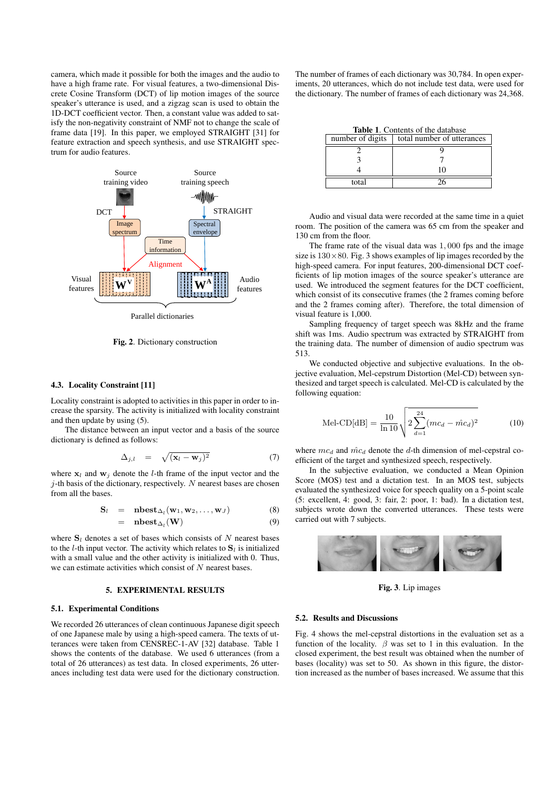camera, which made it possible for both the images and the audio to have a high frame rate. For visual features, a two-dimensional Discrete Cosine Transform (DCT) of lip motion images of the source speaker's utterance is used, and a zigzag scan is used to obtain the 1D-DCT coefficient vector. Then, a constant value was added to satisfy the non-negativity constraint of NMF not to change the scale of frame data [19]. In this paper, we employed STRAIGHT [31] for feature extraction and speech synthesis, and use STRAIGHT spectrum for audio features.



Fig. 2. Dictionary construction

### 4.3. Locality Constraint [11]

Locality constraint is adopted to activities in this paper in order to increase the sparsity. The activity is initialized with locality constraint and then update by using (5).

The distance between an input vector and a basis of the source dictionary is defined as follows:

$$
\Delta_{j,l} = \sqrt{(\mathbf{x}_l - \mathbf{w}_j)^2} \tag{7}
$$

where  $x_l$  and  $w_j$  denote the *l*-th frame of the input vector and the *j*-th basis of the dictionary, respectively. *N* nearest bases are chosen from all the bases.

$$
S_l = nbest_{\Delta_l}(w_1, w_2, ..., w_J)
$$
\n
$$
= nbest_{\Delta_l}(W)
$$
\n(8)

where  $S_l$  denotes a set of bases which consists of  $N$  nearest bases to the *l*-th input vector. The activity which relates to  $S_l$  is initialized with a small value and the other activity is initialized with 0. Thus, we can estimate activities which consist of *N* nearest bases.

## 5. EXPERIMENTAL RESULTS

#### 5.1. Experimental Conditions

We recorded 26 utterances of clean continuous Japanese digit speech of one Japanese male by using a high-speed camera. The texts of utterances were taken from CENSREC-1-AV [32] database. Table 1 shows the contents of the database. We used 6 utterances (from a total of 26 utterances) as test data. In closed experiments, 26 utterances including test data were used for the dictionary construction.

The number of frames of each dictionary was 30,784. In open experiments, 20 utterances, which do not include test data, were used for the dictionary. The number of frames of each dictionary was 24,368.

Table 1. Contents of the database

| number of digits | total number of utterances |
|------------------|----------------------------|
|                  |                            |
|                  |                            |
|                  | 10                         |
| total            |                            |

Audio and visual data were recorded at the same time in a quiet room. The position of the camera was 65 cm from the speaker and 130 cm from the floor.

The frame rate of the visual data was 1*,* 000 fps and the image size is  $130 \times 80$ . Fig. 3 shows examples of lip images recorded by the high-speed camera. For input features, 200-dimensional DCT coefficients of lip motion images of the source speaker's utterance are used. We introduced the segment features for the DCT coefficient, which consist of its consecutive frames (the 2 frames coming before and the 2 frames coming after). Therefore, the total dimension of visual feature is 1,000.

Sampling frequency of target speech was 8kHz and the frame shift was 1ms. Audio spectrum was extracted by STRAIGHT from the training data. The number of dimension of audio spectrum was 513.

We conducted objective and subjective evaluations. In the objective evaluation, Mel-cepstrum Distortion (Mel-CD) between synthesized and target speech is calculated. Mel-CD is calculated by the following equation:

$$
\text{Mel-CD[dB]} = \frac{10}{\ln 10} \sqrt{2 \sum_{d=1}^{24} (mc_d - \hat{mc}_d)^2}
$$
 (10)

where  $mc_d$  and  $\hat{mc}_d$  denote the *d*-th dimension of mel-cepstral coefficient of the target and synthesized speech, respectively.

In the subjective evaluation, we conducted a Mean Opinion Score (MOS) test and a dictation test. In an MOS test, subjects evaluated the synthesized voice for speech quality on a 5-point scale (5: excellent, 4: good, 3: fair, 2: poor, 1: bad). In a dictation test, subjects wrote down the converted utterances. These tests were carried out with 7 subjects.



Fig. 3. Lip images

#### 5.2. Results and Discussions

Fig. 4 shows the mel-cepstral distortions in the evaluation set as a function of the locality.  $\beta$  was set to 1 in this evaluation. In the closed experiment, the best result was obtained when the number of bases (locality) was set to 50. As shown in this figure, the distortion increased as the number of bases increased. We assume that this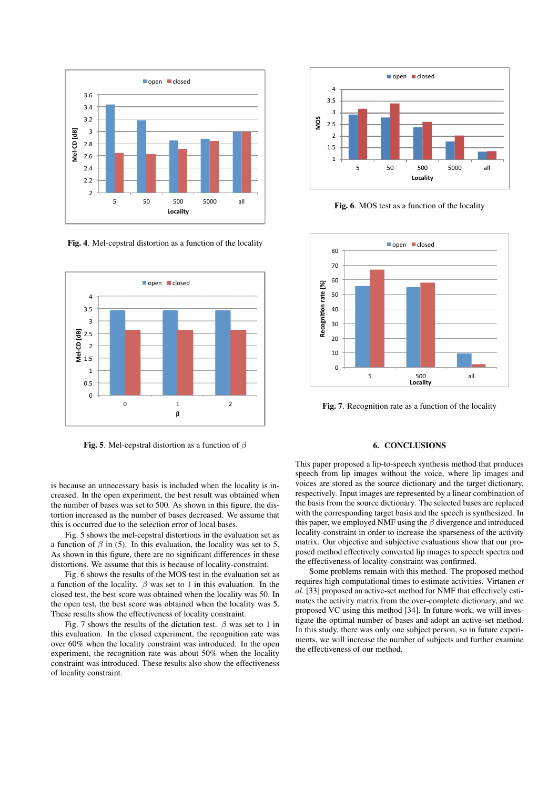

Fig. 4. Mel-cepstral distortion as a function of the locality



Fig. 5. Mel-cepstral distortion as a function of  $\beta$ 

is because an unnecessary basis is included when the locality is increased. In the open experiment, the best result was obtained when the number of bases was set to 500. As shown in this figure, the distortion increased as the number of bases decreased. We assume that this is occurred due to the selection error of local bases.

Fig. 5 shows the mel-cepstral distortions in the evaluation set as a function of  $\beta$  in (5). In this evaluation, the locality was set to 5. As shown in this figure, there are no significant differences in these distortions. We assume that this is because of locality-constraint.

Fig. 6 shows the results of the MOS test in the evaluation set as a function of the locality.  $\beta$  was set to 1 in this evaluation. In the closed test, the best score was obtained when the locality was 50. In the open test, the best score was obtained when the locality was 5. These results show the effectiveness of locality constraint.

Fig. 7 shows the results of the dictation test.  $\beta$  was set to 1 in this evaluation. In the closed experiment, the recognition rate was over 60% when the locality constraint was introduced. In the open experiment, the recognition rate was about 50% when the locality constraint was introduced. These results also show the effectiveness of locality constraint.



Fig. 6. MOS test as a function of the locality



Fig. 7. Recognition rate as a function of the locality

## **6. CONCLUSIONS**

This paper proposed a lip-to-speech synthesis method that produces speech from lip images without the voice, where lip images and voices are stored as the source dictionary and the target dictionary, respectively. Input images are represented by a linear combination of the basis from the source dictionary. The selected bases are replaced with the corresponding target basis and the speech is synthesized. In this paper, we employed NMF using the  $\beta$  divergence and introduced locality-constraint in order to increase the sparseness of the activity matrix. Our objective and subjective evaluations show that our proposed method effectively converted lip images to speech spectra and the effectiveness of locality-constraint was confirmed.

Some problems remain with this method. The proposed method requires high computational times to estimate activities. Virtanen et al. [33] proposed an active-set method for NMF that effectively estimates the activity matrix from the over-complete dictionary, and we proposed VC using this method [34]. In future work, we will investigate the optimal number of bases and adopt an active-set method. In this study, there was only one subject person, so in future experiments, we will increase the number of subjects and further examine the effectiveness of our method.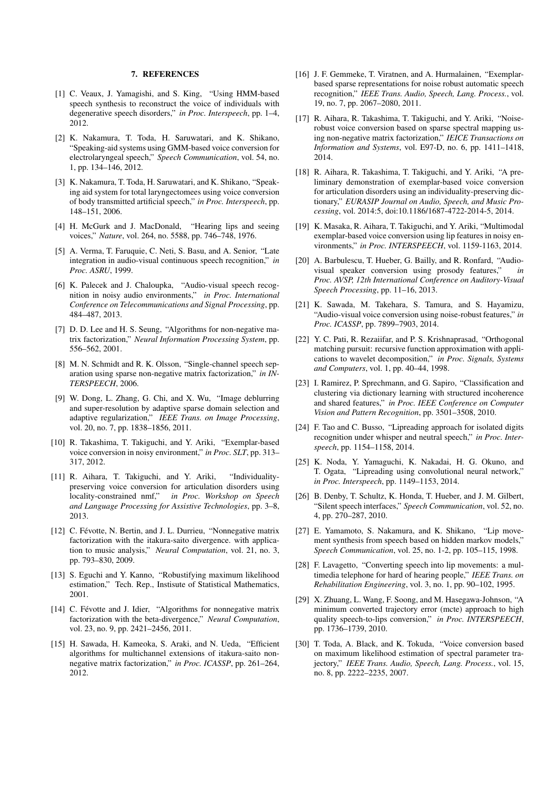### 7. REFERENCES

- [1] C. Veaux, J. Yamagishi, and S. King, "Using HMM-based speech synthesis to reconstruct the voice of individuals with degenerative speech disorders," *in Proc. Interspeech*, pp. 1–4, 2012.
- [2] K. Nakamura, T. Toda, H. Saruwatari, and K. Shikano, "Speaking-aid systems using GMM-based voice conversion for electrolaryngeal speech," *Speech Communication*, vol. 54, no. 1, pp. 134–146, 2012.
- [3] K. Nakamura, T. Toda, H. Saruwatari, and K. Shikano, "Speaking aid system for total laryngectomees using voice conversion of body transmitted artificial speech," *in Proc. Interspeech*, pp. 148–151, 2006.
- [4] H. McGurk and J. MacDonald, "Hearing lips and seeing voices," *Nature*, vol. 264, no. 5588, pp. 746–748, 1976.
- [5] A. Verma, T. Faruquie, C. Neti, S. Basu, and A. Senior, "Late integration in audio-visual continuous speech recognition," *in Proc. ASRU*, 1999.
- [6] K. Palecek and J. Chaloupka, "Audio-visual speech recognition in noisy audio environments," *in Proc. International Conference on Telecommunications and Signal Processing*, pp. 484–487, 2013.
- [7] D. D. Lee and H. S. Seung, "Algorithms for non-negative matrix factorization," *Neural Information Processing System*, pp. 556–562, 2001.
- [8] M. N. Schmidt and R. K. Olsson, "Single-channel speech separation using sparse non-negative matrix factorization," *in IN-TERSPEECH*, 2006.
- [9] W. Dong, L. Zhang, G. Chi, and X. Wu, "Image deblurring and super-resolution by adaptive sparse domain selection and adaptive regularization," *IEEE Trans. on Image Processing*, vol. 20, no. 7, pp. 1838–1856, 2011.
- [10] R. Takashima, T. Takiguchi, and Y. Ariki, "Exemplar-based voice conversion in noisy environment," *in Proc. SLT*, pp. 313– 317, 2012.
- [11] R. Aihara, T. Takiguchi, and Y. Ariki, "Individualitypreserving voice conversion for articulation disorders using locality-constrained nmf," *in Proc. Workshop on Speech and Language Processing for Assistive Technologies*, pp. 3–8, 2013.
- [12] C. Févotte, N. Bertin, and J. L. Durrieu, "Nonnegative matrix factorization with the itakura-saito divergence. with application to music analysis," *Neural Computation*, vol. 21, no. 3, pp. 793–830, 2009.
- [13] S. Eguchi and Y. Kanno, "Robustifying maximum likelihood estimation," Tech. Rep., Instisute of Statistical Mathematics, 2001.
- [14] C. Févotte and J. Idier, "Algorithms for nonnegative matrix factorization with the beta-divergence," *Neural Computation*, vol. 23, no. 9, pp. 2421–2456, 2011.
- [15] H. Sawada, H. Kameoka, S. Araki, and N. Ueda, "Efficient algorithms for multichannel extensions of itakura-saito nonnegative matrix factorization," *in Proc. ICASSP*, pp. 261–264, 2012.
- [16] J. F. Gemmeke, T. Viratnen, and A. Hurmalainen, "Exemplarbased sparse representations for noise robust automatic speech recognition," *IEEE Trans. Audio, Speech, Lang. Process.*, vol. 19, no. 7, pp. 2067–2080, 2011.
- [17] R. Aihara, R. Takashima, T. Takiguchi, and Y. Ariki, "Noiserobust voice conversion based on sparse spectral mapping using non-negative matrix factorization," *IEICE Transactions on Information and Systems*, vol. E97-D, no. 6, pp. 1411–1418, 2014.
- [18] R. Aihara, R. Takashima, T. Takiguchi, and Y. Ariki, "A preliminary demonstration of exemplar-based voice conversion for articulation disorders using an individuality-preserving dictionary," *EURASIP Journal on Audio, Speech, and Music Processing*, vol. 2014:5, doi:10.1186/1687-4722-2014-5, 2014.
- [19] K. Masaka, R. Aihara, T. Takiguchi, and Y. Ariki, "Multimodal exemplar-based voice conversion using lip features in noisy environments," *in Proc. INTERSPEECH*, vol. 1159-1163, 2014.
- [20] A. Barbulescu, T. Hueber, G. Bailly, and R. Ronfard, "Audiovisual speaker conversion using prosody features," *in Proc. AVSP, 12th International Conference on Auditory-Visual Speech Processing*, pp. 11–16, 2013.
- [21] K. Sawada, M. Takehara, S. Tamura, and S. Hayamizu, "Audio-visual voice conversion using noise-robust features," *in Proc. ICASSP*, pp. 7899–7903, 2014.
- [22] Y. C. Pati, R. Rezaiifar, and P. S. Krishnaprasad, "Orthogonal matching pursuit: recursive function approximation with applications to wavelet decomposition," *in Proc. Signals, Systems and Computers*, vol. 1, pp. 40–44, 1998.
- [23] I. Ramirez, P. Sprechmann, and G. Sapiro, "Classification and clustering via dictionary learning with structured incoherence and shared features," *in Proc. IEEE Conference on Computer Vision and Pattern Recognition*, pp. 3501–3508, 2010.
- [24] F. Tao and C. Busso, "Lipreading approach for isolated digits recognition under whisper and neutral speech," *in Proc. Interspeech*, pp. 1154–1158, 2014.
- [25] K. Noda, Y. Yamaguchi, K. Nakadai, H. G. Okuno, and T. Ogata, "Lipreading using convolutional neural network," *in Proc. Interspeech*, pp. 1149–1153, 2014.
- [26] B. Denby, T. Schultz, K. Honda, T. Hueber, and J. M. Gilbert, "Silent speech interfaces," *Speech Communication*, vol. 52, no. 4, pp. 270–287, 2010.
- [27] E. Yamamoto, S. Nakamura, and K. Shikano, "Lip movement synthesis from speech based on hidden markov models," *Speech Communication*, vol. 25, no. 1-2, pp. 105–115, 1998.
- [28] F. Lavagetto, "Converting speech into lip movements: a multimedia telephone for hard of hearing people," *IEEE Trans. on Rehabilitation Engineering*, vol. 3, no. 1, pp. 90–102, 1995.
- [29] X. Zhuang, L. Wang, F. Soong, and M. Hasegawa-Johnson, "A minimum converted trajectory error (mcte) approach to high quality speech-to-lips conversion," *in Proc. INTERSPEECH*, pp. 1736–1739, 2010.
- [30] T. Toda, A. Black, and K. Tokuda, "Voice conversion based on maximum likelihood estimation of spectral parameter trajectory," *IEEE Trans. Audio, Speech, Lang. Process.*, vol. 15, no. 8, pp. 2222–2235, 2007.